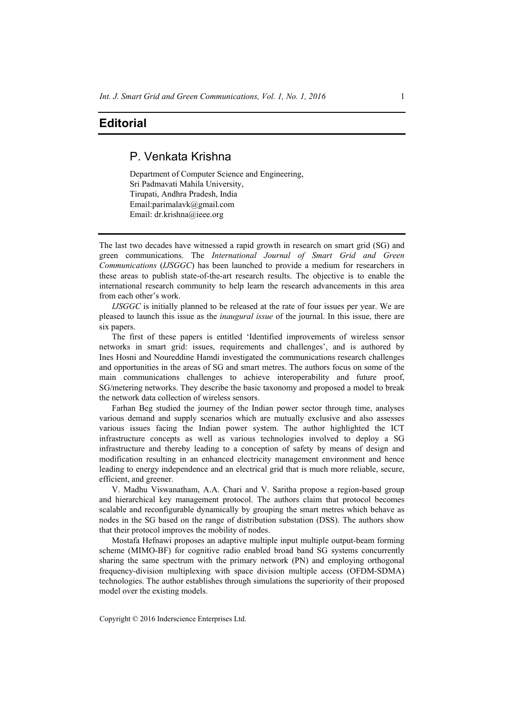## **Editorial**

## P. Venkata Krishna

Department of Computer Science and Engineering, Sri Padmavati Mahila University, Tirupati, Andhra Pradesh, India Email:parimalavk@gmail.com Email: dr.krishna@ieee.org

The last two decades have witnessed a rapid growth in research on smart grid (SG) and green communications. The *International Journal of Smart Grid and Green Communications* (*IJSGGC*) has been launched to provide a medium for researchers in these areas to publish state-of-the-art research results. The objective is to enable the international research community to help learn the research advancements in this area from each other's work.

*IJSGGC* is initially planned to be released at the rate of four issues per year. We are pleased to launch this issue as the *inaugural issue* of the journal. In this issue, there are six papers.

The first of these papers is entitled 'Identified improvements of wireless sensor networks in smart grid: issues, requirements and challenges', and is authored by Ines Hosni and Noureddine Hamdi investigated the communications research challenges and opportunities in the areas of SG and smart metres. The authors focus on some of the main communications challenges to achieve interoperability and future proof, SG/metering networks. They describe the basic taxonomy and proposed a model to break the network data collection of wireless sensors.

Farhan Beg studied the journey of the Indian power sector through time, analyses various demand and supply scenarios which are mutually exclusive and also assesses various issues facing the Indian power system. The author highlighted the ICT infrastructure concepts as well as various technologies involved to deploy a SG infrastructure and thereby leading to a conception of safety by means of design and modification resulting in an enhanced electricity management environment and hence leading to energy independence and an electrical grid that is much more reliable, secure, efficient, and greener.

V. Madhu Viswanatham, A.A. Chari and V. Saritha propose a region-based group and hierarchical key management protocol. The authors claim that protocol becomes scalable and reconfigurable dynamically by grouping the smart metres which behave as nodes in the SG based on the range of distribution substation (DSS). The authors show that their protocol improves the mobility of nodes.

Mostafa Hefnawi proposes an adaptive multiple input multiple output-beam forming scheme (MIMO-BF) for cognitive radio enabled broad band SG systems concurrently sharing the same spectrum with the primary network (PN) and employing orthogonal frequency-division multiplexing with space division multiple access (OFDM-SDMA) technologies. The author establishes through simulations the superiority of their proposed model over the existing models.